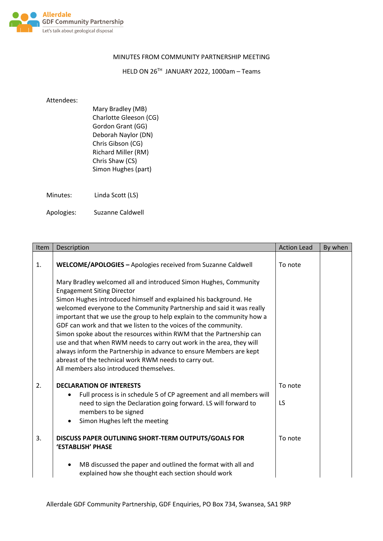

## MINUTES FROM COMMUNITY PARTNERSHIP MEETING

HELD ON 26TH JANUARY 2022, 1000am – Teams

## Attendees:

Mary Bradley (MB) Charlotte Gleeson (CG) Gordon Grant (GG) Deborah Naylor (DN) Chris Gibson (CG) Richard Miller (RM) Chris Shaw (CS) Simon Hughes (part)

Minutes: Linda Scott (LS)

Apologies: Suzanne Caldwell

| Item | Description                                                                                                                                                                                                                                                                                                                                                                                                                                                                                                                                                                                                                                                                                                               | <b>Action Lead</b> | By when |
|------|---------------------------------------------------------------------------------------------------------------------------------------------------------------------------------------------------------------------------------------------------------------------------------------------------------------------------------------------------------------------------------------------------------------------------------------------------------------------------------------------------------------------------------------------------------------------------------------------------------------------------------------------------------------------------------------------------------------------------|--------------------|---------|
| 1.   | WELCOME/APOLOGIES - Apologies received from Suzanne Caldwell                                                                                                                                                                                                                                                                                                                                                                                                                                                                                                                                                                                                                                                              | To note            |         |
|      | Mary Bradley welcomed all and introduced Simon Hughes, Community<br><b>Engagement Siting Director</b><br>Simon Hughes introduced himself and explained his background. He<br>welcomed everyone to the Community Partnership and said it was really<br>important that we use the group to help explain to the community how a<br>GDF can work and that we listen to the voices of the community.<br>Simon spoke about the resources within RWM that the Partnership can<br>use and that when RWM needs to carry out work in the area, they will<br>always inform the Partnership in advance to ensure Members are kept<br>abreast of the technical work RWM needs to carry out.<br>All members also introduced themselves. |                    |         |
| 2.   | <b>DECLARATION OF INTERESTS</b><br>Full process is in schedule 5 of CP agreement and all members will<br>$\bullet$<br>need to sign the Declaration going forward. LS will forward to<br>members to be signed<br>Simon Hughes left the meeting<br>$\bullet$                                                                                                                                                                                                                                                                                                                                                                                                                                                                | To note<br>LS      |         |
| 3.   | DISCUSS PAPER OUTLINING SHORT-TERM OUTPUTS/GOALS FOR<br>'ESTABLISH' PHASE                                                                                                                                                                                                                                                                                                                                                                                                                                                                                                                                                                                                                                                 | To note            |         |
|      | MB discussed the paper and outlined the format with all and<br>٠<br>explained how she thought each section should work                                                                                                                                                                                                                                                                                                                                                                                                                                                                                                                                                                                                    |                    |         |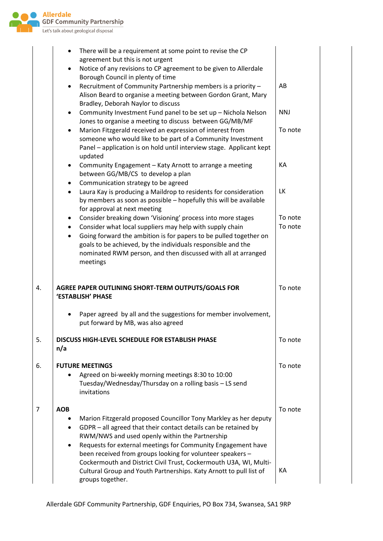

|    | There will be a requirement at some point to revise the CP                                                                                              |            |
|----|---------------------------------------------------------------------------------------------------------------------------------------------------------|------------|
|    | agreement but this is not urgent<br>Notice of any revisions to CP agreement to be given to Allerdale<br>٠                                               |            |
|    | Borough Council in plenty of time                                                                                                                       |            |
|    | Recruitment of Community Partnership members is a priority -<br>٠                                                                                       | AB         |
|    | Alison Beard to organise a meeting between Gordon Grant, Mary<br>Bradley, Deborah Naylor to discuss                                                     |            |
|    | Community Investment Fund panel to be set up - Nichola Nelson<br>$\bullet$                                                                              | <b>NNJ</b> |
|    | Jones to organise a meeting to discuss between GG/MB/MF                                                                                                 |            |
|    | Marion Fitzgerald received an expression of interest from<br>$\bullet$                                                                                  | To note    |
|    | someone who would like to be part of a Community Investment<br>Panel - application is on hold until interview stage. Applicant kept                     |            |
|    | updated                                                                                                                                                 |            |
|    | Community Engagement - Katy Arnott to arrange a meeting<br>٠                                                                                            | KA         |
|    | between GG/MB/CS to develop a plan                                                                                                                      |            |
|    | Communication strategy to be agreed<br>$\bullet$<br>Laura Kay is producing a Maildrop to residents for consideration<br>$\bullet$                       | <b>LK</b>  |
|    | by members as soon as possible - hopefully this will be available                                                                                       |            |
|    | for approval at next meeting                                                                                                                            |            |
|    | Consider breaking down 'Visioning' process into more stages<br>$\bullet$                                                                                | To note    |
|    | Consider what local suppliers may help with supply chain<br>$\bullet$<br>Going forward the ambition is for papers to be pulled together on<br>$\bullet$ | To note    |
|    | goals to be achieved, by the individuals responsible and the                                                                                            |            |
|    | nominated RWM person, and then discussed with all at arranged                                                                                           |            |
|    | meetings                                                                                                                                                |            |
| 4. | AGREE PAPER OUTLINING SHORT-TERM OUTPUTS/GOALS FOR                                                                                                      | To note    |
|    | 'ESTABLISH' PHASE                                                                                                                                       |            |
|    | Paper agreed by all and the suggestions for member involvement,                                                                                         |            |
|    | put forward by MB, was also agreed                                                                                                                      |            |
| 5. | <b>DISCUSS HIGH-LEVEL SCHEDULE FOR ESTABLISH PHASE</b>                                                                                                  | To note    |
|    | n/a                                                                                                                                                     |            |
| 6. | <b>FUTURE MEETINGS</b>                                                                                                                                  | To note    |
|    | Agreed on bi-weekly morning meetings 8:30 to 10:00                                                                                                      |            |
|    | Tuesday/Wednesday/Thursday on a rolling basis - LS send                                                                                                 |            |
|    | invitations                                                                                                                                             |            |
| 7  | <b>AOB</b>                                                                                                                                              | To note    |
|    | Marion Fitzgerald proposed Councillor Tony Markley as her deputy                                                                                        |            |
|    | GDPR - all agreed that their contact details can be retained by<br>RWM/NWS and used openly within the Partnership                                       |            |
|    | Requests for external meetings for Community Engagement have<br>٠                                                                                       |            |
|    | been received from groups looking for volunteer speakers -                                                                                              |            |
|    | Cockermouth and District Civil Trust, Cockermouth U3A, WI, Multi-                                                                                       | KА         |
|    | Cultural Group and Youth Partnerships. Katy Arnott to pull list of<br>groups together.                                                                  |            |
|    |                                                                                                                                                         |            |